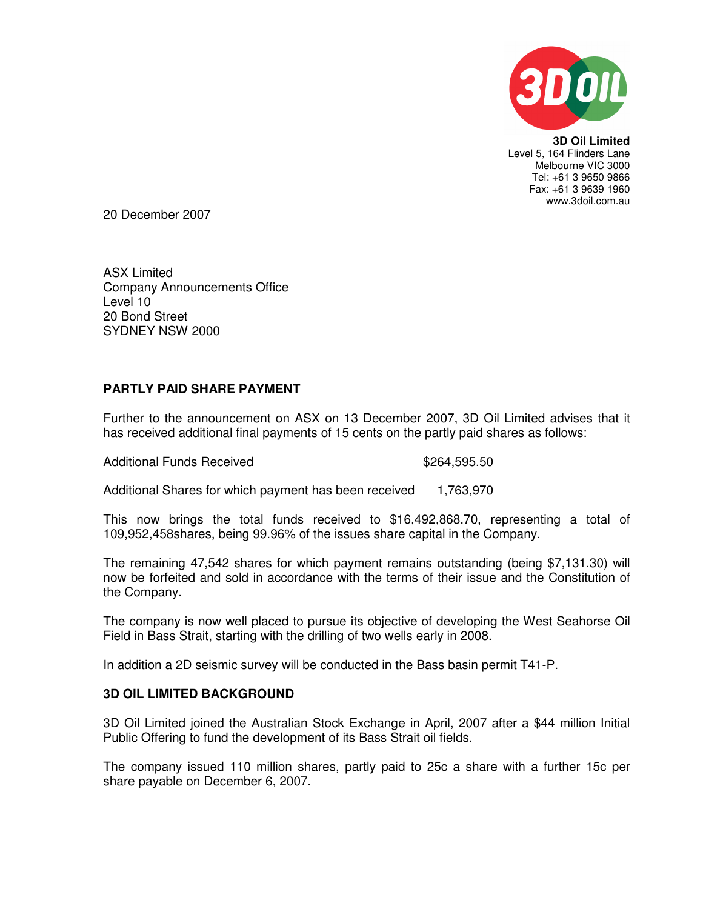

**3D Oil Limited**  Level 5, 164 Flinders Lane Melbourne VIC 3000 Tel: +61 3 9650 9866 Fax: +61 3 9639 1960 www.3doil.com.au

20 December 2007

ASX Limited Company Announcements Office Level 10 20 Bond Street SYDNEY NSW 2000

## **PARTLY PAID SHARE PAYMENT**

Further to the announcement on ASX on 13 December 2007, 3D Oil Limited advises that it has received additional final payments of 15 cents on the partly paid shares as follows:

Additional Funds Received **\$264,595.50** 

Additional Shares for which payment has been received 1,763,970

This now brings the total funds received to \$16,492,868.70, representing a total of 109,952,458shares, being 99.96% of the issues share capital in the Company.

The remaining 47,542 shares for which payment remains outstanding (being \$7,131.30) will now be forfeited and sold in accordance with the terms of their issue and the Constitution of the Company.

The company is now well placed to pursue its objective of developing the West Seahorse Oil Field in Bass Strait, starting with the drilling of two wells early in 2008.

In addition a 2D seismic survey will be conducted in the Bass basin permit T41-P.

## **3D OIL LIMITED BACKGROUND**

3D Oil Limited joined the Australian Stock Exchange in April, 2007 after a \$44 million Initial Public Offering to fund the development of its Bass Strait oil fields.

The company issued 110 million shares, partly paid to 25c a share with a further 15c per share payable on December 6, 2007.